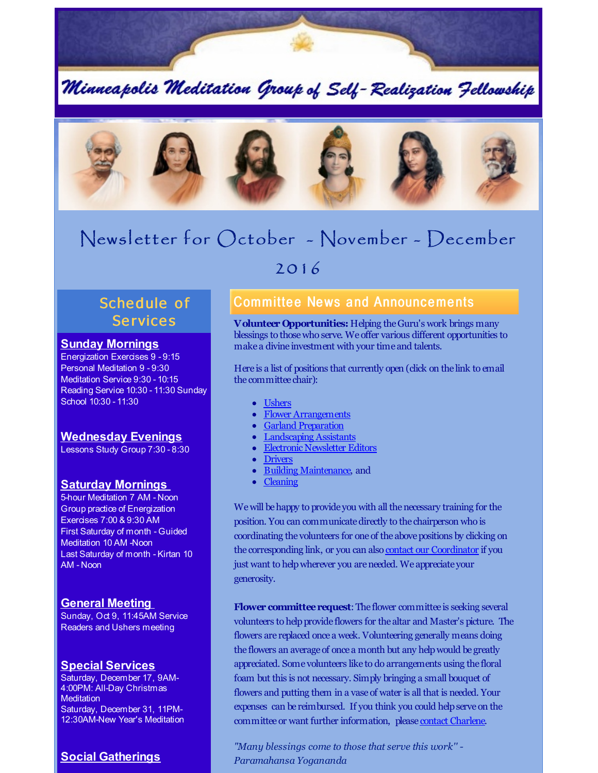

Minneapolis Meditation Group of Self-Realization Fellowship



# Newsl etter for October - November - December

# 2016

# Schedule of **Services**

#### **Sunday Mornings**

Energization Exercises 9 - 9:15 Personal Meditation 9 - 9:30 Meditation Service 9:30 - 10:15 Reading Service 10:30 - 11:30 Sunday School 10:30 - 11:30

## **Wednesday Evenings**

Lessons Study Group 7:30 - 8:30

#### **Saturday Mornings**

5-hour Meditation 7 AM - Noon Group practice of Energization Exercises 7:00 & 9:30 AM First Saturday of month - Guided Meditation 10 AM -Noon Last Saturday of month - Kirtan 10 AM - Noon

#### **General Meeting**

Sunday, Oct 9, 11:45AM Service Readers and Ushers meeting

#### **Special Services**

Saturday, December 17, 9AM-4:00PM: All-Day Christmas **Meditation** Saturday, December 31, 11PM-12:30AM-New Year's Meditation

## **Social Gatherings**

## **Committee News and Announcements**

**Volunteer Opportunities:** Helping theGuru's work brings many blessings to thosewho serve. We offer various different opportunities to make a divine investment with your time and talents.

Here is a list of positions that currently open (click on the link to email the committee chair):

- [Ushers](mailto:ushers@srfminneapolis.org)
- Flower [Arrangements](mailto:flowers@srfminneapolis.org)
- Garland [Preparation](mailto:garlands@srfminneapolis.org)
- [Landscaping](mailto:landscaping@srfminneapolis.org) Assistants
- Electronic [Newsletter](mailto:terry.schwab@srfminneapolis.org) Editors
- [Drivers](mailto:sunshine@srfminneapolis.org)
- Building [Maintenance](mailto:maintenance@srfminneapolis.org), and
- [Cleaning](mailto:cleaning@srfminneapolis.org)

We will be happy to provide you with all the necessary training for the position. You can communicatedirectly to the chairperson who is coordinating the volunteers for one of the above positions by clicking on the corresponding link, or you can also contact our [Coordinator](mailto:coordinator@srfminneapolis.org) if you just want to helpwherever you areneeded. We appreciate your generosity.

**Flower committee request:** The flower committee is seeking several volunteers to help provide flowers for the altar and Master's picture. The flowers are replaced once a week. Volunteering generally means doing the flowers an average of once a month but any helpwould be greatly appreciated. Some volunteers like to do arrangements using the floral foam but this is not necessary. Simply bringing a small bouquet of flowers and putting them in a vase of water is all that is needed. Your expenses can be reimbursed. If you think you could helpserve on the committee or want further information, please contact [Charlene](mailto:flowers@srfminneapolis.org).

*"Many blessings come to those that serve this work'' - Paramahansa Yogananda*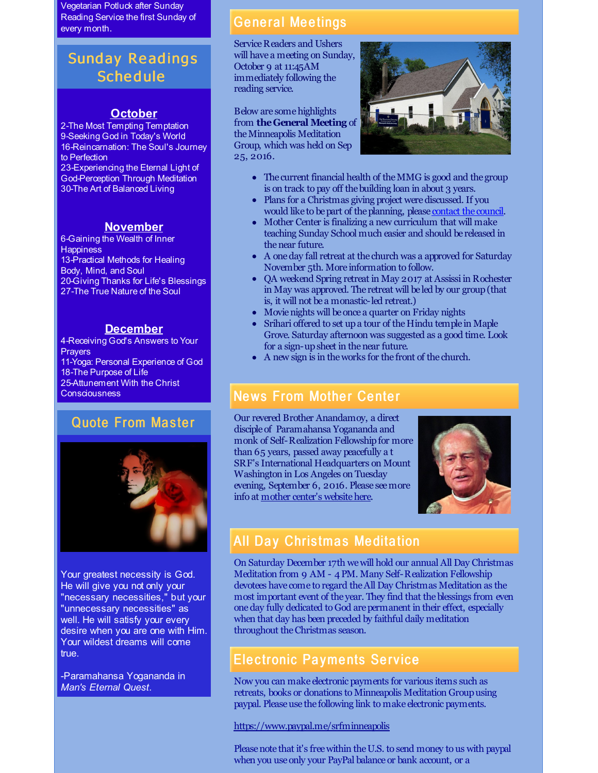Vegetarian Potluck after Sunday Reading Service the first Sunday of every month.

# Sunday Re adings **Schedule**

#### **October**

2-The Most Tempting Temptation 9-Seeking God in Today's World 16-Reincarnation: The Soul's Journey to Perfection

23-Experiencing the Eternal Light of God-Perception Through Meditation 30-The Art of Balanced Living

### **November**

6-Gaining the Wealth of Inner **Happiness** 13-Practical Methods for Healing Body, Mind, and Soul 20-Giving Thanks for Life's Blessings 27-The True Nature of the Soul

#### **December**

4-Receiving God's Answers to Your **Prayers** 11-Yoga: Personal Experience of God 18-The Purpose of Life 25-Attunement With the Christ **Consciousness** 

## **Quote From Master**



Your greatest necessity is God. He will give you not only your "necessary necessities," but your "unnecessary necessities" as well. He will satisfy your every desire when you are one with Him. Your wildest dreams will come true.

-Paramahansa Yogananda in *Man's Eternal Quest.*

## **General Meetings**

Service Readers and Ushers will have a meeting on Sunday, October 9 at 11:45AM immediately following the reading service.

Below are some highlights from **theGeneral Meeting** of theMinneapolis Meditation Group, which was held on Sep 25, 2016.



- The current financial health of the MMG is good and the group is on track to pay off the building loan in about 3 years.
- Plans for a Christmas giving project were discussed. If you would like to be part of the planning, please [contact](mailto:council@srfminneapolis.org) the council.
- Mother Center is finalizing a new curriculum that will make teaching Sunday School much easier and should be released in the near future.
- A oneday fall retreat at the church was a approved for Saturday November 5th. More information to follow.
- QA weekend Spring retreat in May 2017 at Assissi in Rochester in May was approved. The retreat will be led by our group(that is, it will not be a monastic-led retreat.)
- Movie nights will be once a quarter on Friday nights
- Srihari offered to set upa tour of the Hindu temple in Maple Grove. Saturday afternoon was suggested as a good time. Look for a sign-upsheet in thenear future.
- A new sign is in theworks for the front of the church.

## **News From Mother Center**

Our revered Brother Anandamoy, a direct disciple of Paramahansa Yogananda and monk of Self-Realization Fellowshipfor more than 65 years, passed away peacefully a t SRF's International Headquarters on Mount Washington in Los Angeles on Tuesday evening, September 6, 2016. Please seemore info at mother center's website here.



# **All Day Christmas Meditation**

On Saturday December 17th wewill hold our annual All Day Christmas Meditation from 9 AM - 4PM. Many Self-Realization Fellowship devotees have come to regard theAll Day Christmas Meditation as the most important event of the year. They find that theblessings from even oneday fully dedicated to God arepermanent in their effect, especially when that day has been preceded by faithful daily meditation throughout theChristmas season.

# Electronic Payments Service

Now you can make electronic payments for various items such as retreats, books or donations to Minneapolis Meditation Groupusing paypal. Please use the following link to make electronic payments.

<https://www.paypal.me/srfminneapolis>

Please note that it's free within the U.S. to send money to us with paypal when you use only your PayPal balance or bank account, or a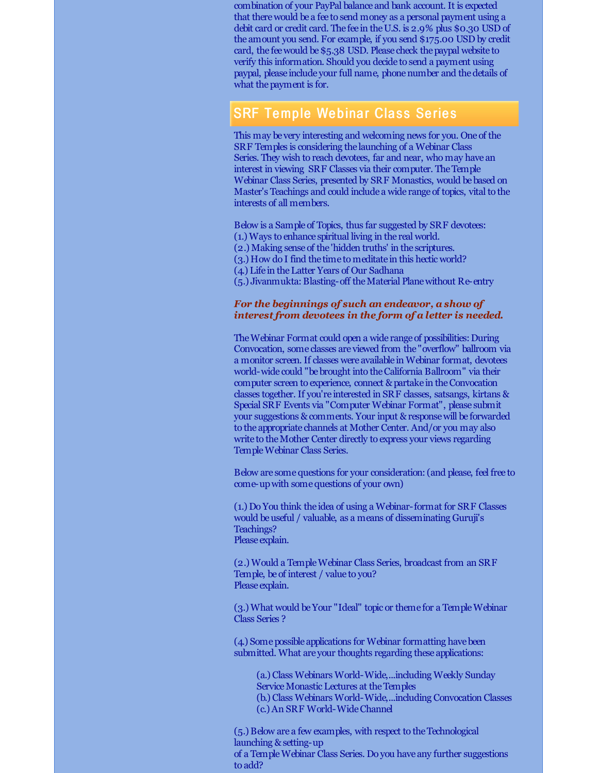combination of your PayPal balance and bank account. It is expected that therewould be a fee to send money as a personal payment using a debit card or credit card. The fee in theU.S. is 2.9% plus \$0.30 USD of the amount you send. For example, if you send \$175.00 USD by credit card, the feewould be\$5.38 USD. Please check thepaypal website to verify this information. Should you decide to send a payment using paypal, please include your full name, phonenumber and thedetails of what the payment is for.

## **SRF Temple Webinar Class Series**

This may be very interesting and welcoming news for you. One of the SRF Temples is considering the launching of a Webinar Class Series. They wish to reach devotees, far and near, who may have an interest in viewing SRF Classes via their computer. TheTemple Webinar Class Series, presented by SRF Monastics, would be based on Master's Teachings and could include a wide range of topics, vital to the interests of all members.

Below is a Sample of Topics, thus far suggested by SRF devotees:

- (1.) Ways to enhance spiritual living in the real world.
- (2.) Making sense of the 'hidden truths' in the scriptures.
- (3.) How do I find the time to meditate in this hectic world?
- (4.) Life in theLatter Years of Our Sadhana

(5.) Jivanmukta:Blasting-off theMaterial Planewithout Re-entry

#### *For the beginnings of such an endeavor, a show of interest from devotees in the form of a letter is needed.*

TheWebinar Format could open a wide range of possibilities: During Convocation, some classes are viewed from the "overflow" ballroom via a monitor screen. If classes were available in Webinar format, devotees world-wide could "be brought into the California Ballroom" via their computer screen to experience, connect & partake in theConvocation classes together. If you're interested in SRF classes, satsangs, kirtans & Special SRF Events via "Computer Webinar Format", please submit your suggestions & comments. Your input & responsewill be forwarded to the appropriate channels at Mother Center. And/or you may also write to the Mother Center directly to express your views regarding TempleWebinar Class Series.

Below are somequestions for your consideration:(and please, feel free to come-upwith somequestions of your own)

(1.) Do You think the idea of using a Webinar-format for SRF Classes would beuseful / valuable, as a means of disseminating Guruji's Teachings? Please explain.

(2.) Would a TempleWebinar Class Series, broadcast from an SRF Temple, be of interest / value to you? Please explain.

(3.) What would beYour "Ideal" topic or theme for a TempleWebinar Class Series ?

(4.) Some possible applications for Webinar formatting have been submitted. What are your thoughts regarding these applications:

(a.) Class Webinars World-Wide,...including Weekly Sunday Service Monastic Lectures at the Temples (b.) Class Webinars World-Wide,...including Convocation Classes

(c.)An SRF World-WideChannel

to add?

(5.) Below are a few examples, with respect to theTechnological launching & setting-up of a TempleWebinar Class Series. Do you have any further suggestions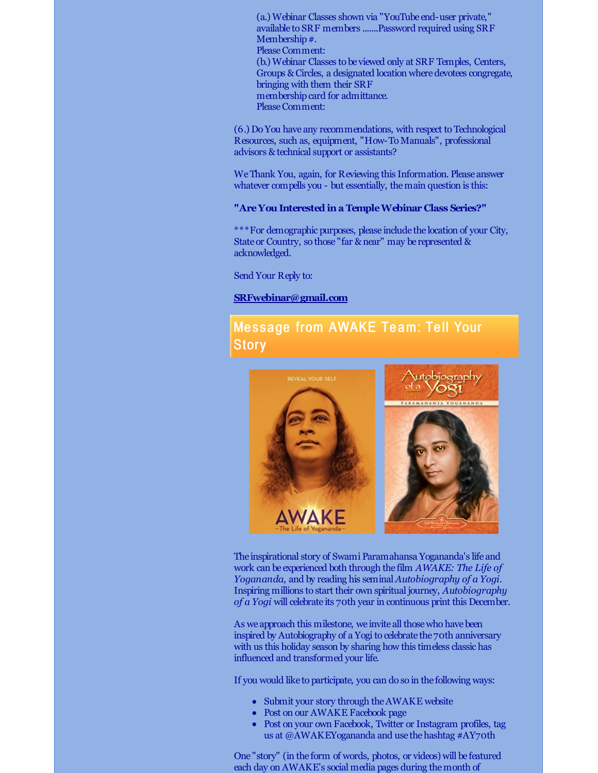(a.) Webinar Classes shown via "YouTube end-user private," available to SRF members .......Password required using SRF Membership #. Please Comment: (b.) Webinar Classes to be viewed only at SRF Temples, Centers, Groups & Circles, a designated location where devotees congregate, bringing with them their SRF membership card for admittance. PleaseComment:

(6.) Do You have any recommendations, with respect to Technological Resources, such as, equipment, "How-To Manuals", professional advisors & technical support or assistants?

WeThank You, again, for Reviewing this Information. Please answer whatever compells you - but essentially, the main question is this:

#### **"AreYou Interested ina TempleWebinar Class Series?"**

\*\*\*For demographic purposes, please include the location of your City, State or Country, so those "far & near" may be represented & acknowledged.

Send Your Reply to:

#### **[SRFwebinar@gmail.com](mailto:SRFwebinar@gmail.com)**

## Message from AWAKE Team: Tell Your **Story**



The inspirational story of Swami Paramahansa Yogananda's life and work can be experienced both through the film *AWAKE: The Life of Yogananda*, and by reading his seminal *Autobiography of a Yogi*. Inspiring millions to start their own spiritual journey, *Autobiography of a Yogi* will celebrate its 70th year in continuous print this December.

As we approach this milestone, we invite all those who have been inspired by Autobiography of a Yogi to celebrate the 70th anniversary with us this holiday season by sharing how this timeless classic has influenced and transformed your life.

If you would like to participate, you can do so in the following ways:

- Submit your story through the AWAKE website
- Post on our AWAKE Facebook page
- Post on your own Facebook, Twitter or Instagram profiles, tag us at @AWAKEYogananda and use the hashtag #AY70th

One "story" (in the form of words, photos, or videos) will be featured each day on AWAKE's social media pages during themonth of